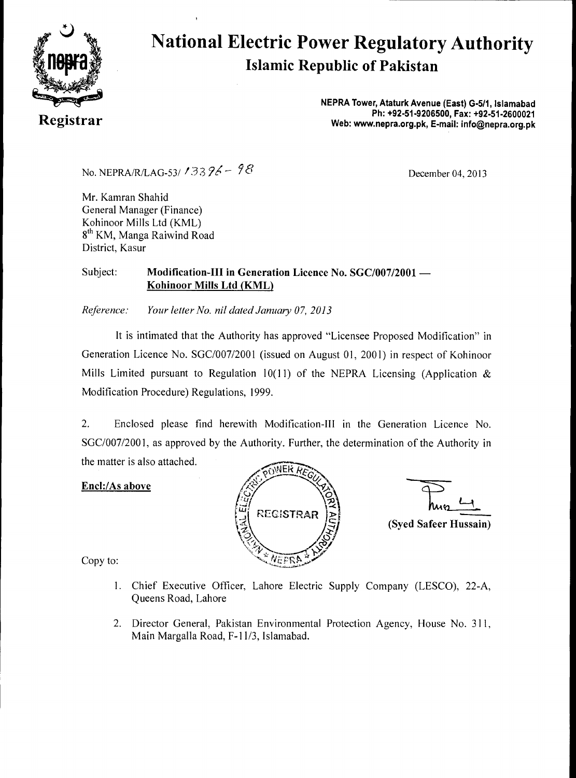

## **National Electric Power Regulatory Authority Islamic Republic of Pakistan**

**NEPRA Tower, Ataturk Avenue (East) G-511, Islamabad Ph: +92-51-9206500, Fax: +92-51-2600021 Registrar Web: www.nepra.org.pk, E-mail: info@nepra.org.pk** 

No. NEPRA/R/LAG-53/ 133  $26 - 98$ <br>December 04, 2013

Mr. Kamran Shahid General Manager (Finance) Kohinoor Mills Ltd (KML) 8<sup>th</sup> KM, Manga Raiwind Road District, Kasur

#### Subject: **Modification-III in Generation Licence No. SGC/007/2001 — Kohinoor Mills Ltd (KML)**

*Reference: Your letter No. nil dated January 07, 2013* 

It is intimated that the Authority has approved "Licensee Proposed Modification" in Generation Licence No. SGC/007/2001 (issued on August 01, 2001) in respect of Kohinoor Mills Limited pursuant to Regulation 10(11) of the NEPRA Licensing (Application  $\&$ Modification Procedure) Regulations, 1999.

2. Enclosed please find herewith Modification-III in the Generation Licence No. SGC/007/2001, as approved by the Authority. Further, the determination of the Authority in the matter is also attached.

#### **Encl:/As above**



**(Syed Safeer Hussain)** 

Copy to:

- 1. Chief Executive Officer, Lahore Electric Supply Company (LESCO), 22-A, Queens Road, Lahore
- 2. Director General, Pakistan Environmental Protection Agency, House No. 311, Main Margalla Road, F-11/3, Islamabad.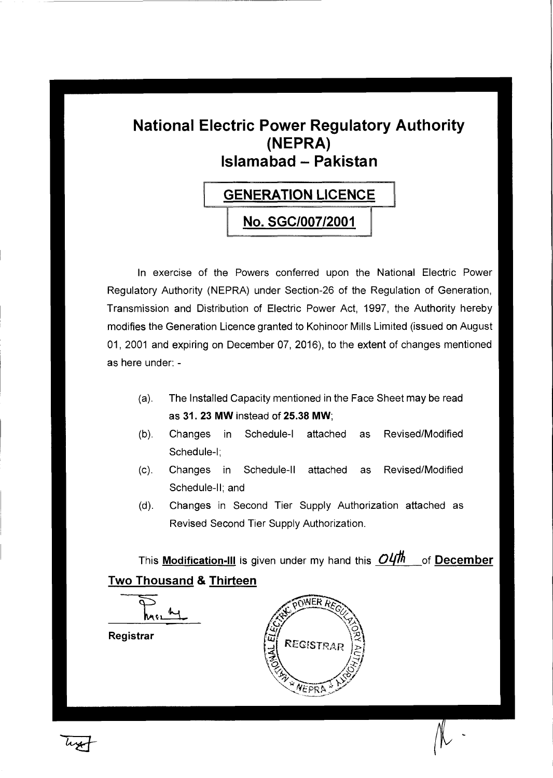### **National Electric Power Regulatory Authority (NEPRA) Islamabad — Pakistan**

# **GENERATION LICENCE No. SGC/007/2001**

In exercise of the Powers conferred upon the National Electric Power Regulatory Authority (NEPRA) under Section-26 of the Regulation of Generation, Transmission and Distribution of Electric Power Act, 1997, the Authority hereby modifies the Generation Licence granted to Kohinoor Mills Limited (issued on August 01, 2001 and expiring on December 07, 2016), to the extent of changes mentioned as here under: -

- (a). The Installed Capacity mentioned in the Face Sheet may be read as 31. 23 **MW** instead of 25.38 **MW;**
- (b). Changes in Schedule-I attached as Revised/Modified Schedule-I;
- (c). Changes in Schedule-II attached as Revised/Modified Schedule-II; and
- (d). Changes in Second Tier Supply Authorization attached as Revised Second Tier Supply Authorization.

This **Modification-III** is given under my hand this  $O(1/h)$  of **December Two Thousand & Thirteen** 



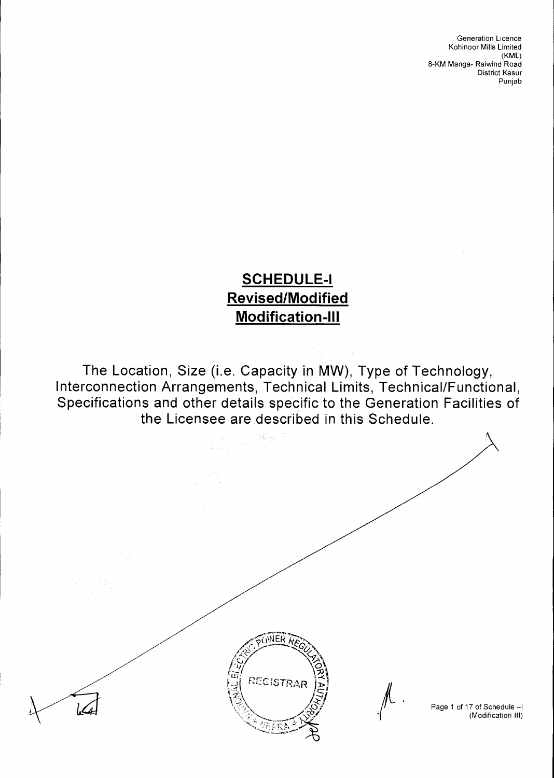### **SCHEDULE-I Revised/Modified Modification-Ill**

The Location, Size (i.e. Capacity in MW), Type of Technology, Interconnection Arrangements, Technical Limits, Technical/Functional, Specifications and other details specific to the Generation Facilities of the Licensee are described in this Schedule.

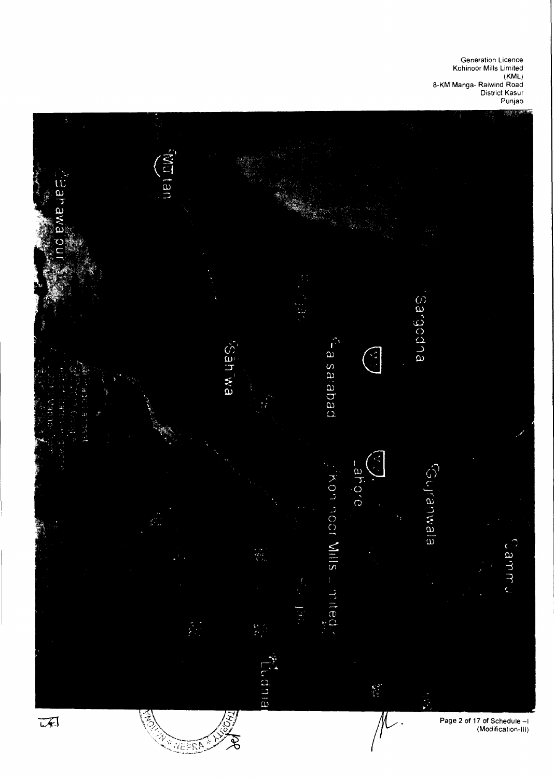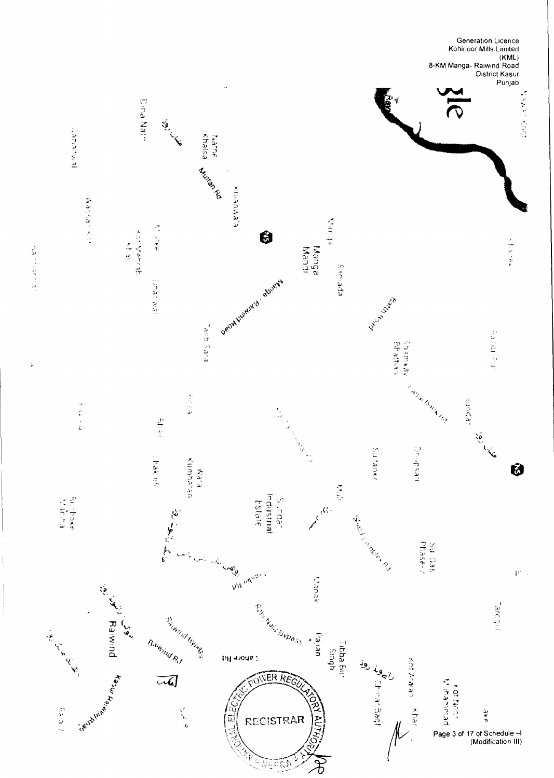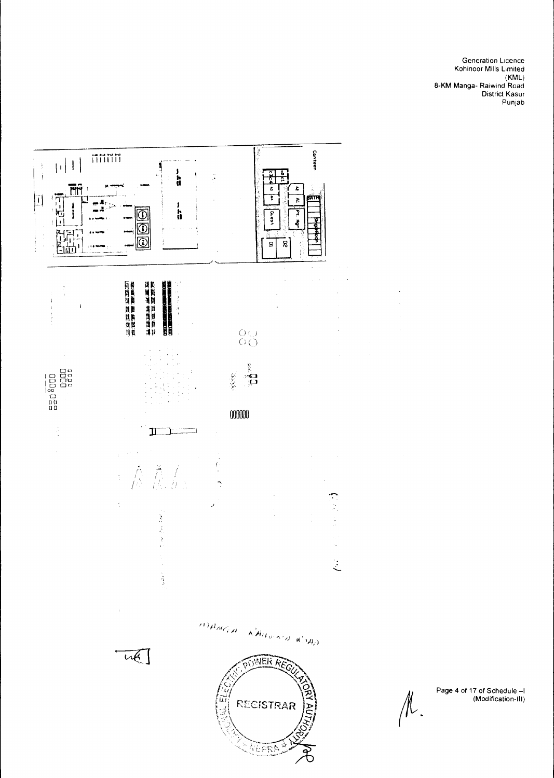

Page 4 of 17 of Schedule —I (Modification-Ill)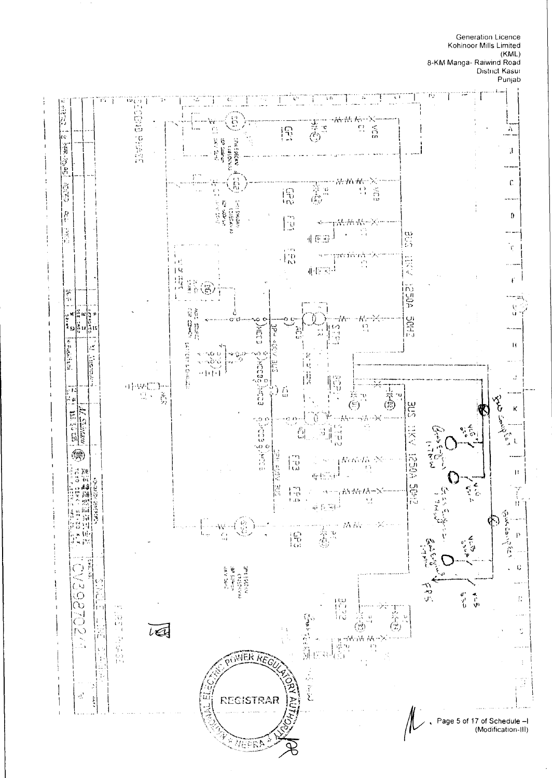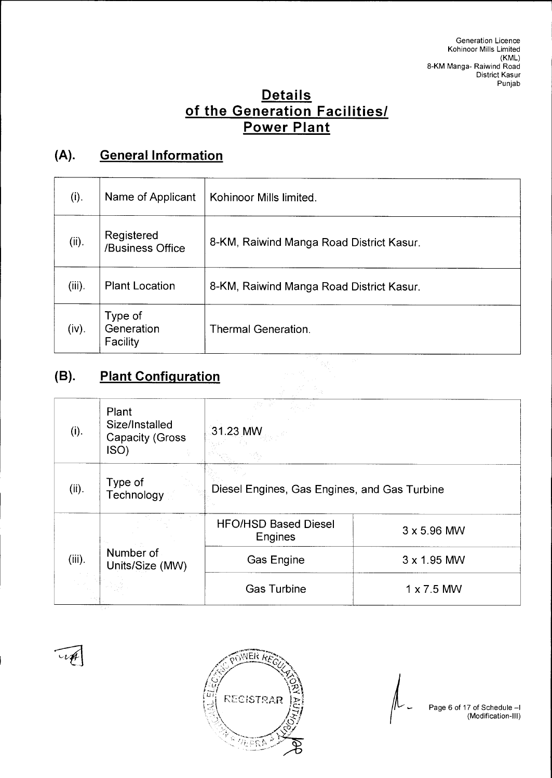### **Details of the Generation Facilities/ Power Plant**

### **(A). General Information**

| (i).      | Name of Applicant                 | Kohinoor Mills limited.                                                              |  |
|-----------|-----------------------------------|--------------------------------------------------------------------------------------|--|
| (ii).     | Registered<br>/Business Office    | 8-KM, Raiwind Manga Road District Kasur.<br>8-KM, Raiwind Manga Road District Kasur. |  |
| $(iii)$ . | <b>Plant Location</b>             |                                                                                      |  |
| (iv).     | Type of<br>Generation<br>Facility | Thermal Generation.                                                                  |  |

### **(B). Plant Configuration**

| (i).      | Plant<br>Size/Installed<br><b>Capacity (Gross</b><br>ISO) | 31.23 MW                                     |                    |  |
|-----------|-----------------------------------------------------------|----------------------------------------------|--------------------|--|
| (ii).     | Type of<br>Technology                                     | Diesel Engines, Gas Engines, and Gas Turbine |                    |  |
|           |                                                           | <b>HFO/HSD Based Diesel</b><br>Engines       | $3 \times 5.96$ MW |  |
| $(iii)$ . | Number of<br>Units/Size (MW)                              | Gas Engine                                   | $3 \times 1.95$ MW |  |
|           |                                                           | <b>Gas Turbine</b>                           | $1 \times 7.5$ MW  |  |



Page 6 of 17 of Schedule —I (Modification-III)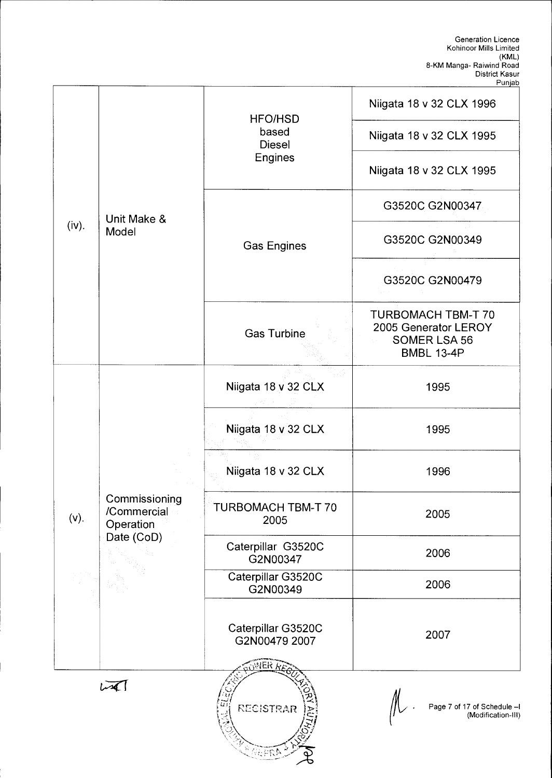|         |                                                         |                                               | Niigata 18 v 32 CLX 1996                                                                      |
|---------|---------------------------------------------------------|-----------------------------------------------|-----------------------------------------------------------------------------------------------|
|         |                                                         | <b>HFO/HSD</b><br>based<br><b>Diesel</b>      | Niigata 18 v 32 CLX 1995                                                                      |
|         |                                                         | <b>Engines</b>                                | Niigata 18 v 32 CLX 1995                                                                      |
|         | Unit Make &                                             |                                               | G3520C G2N00347                                                                               |
| (iv).   | Model                                                   | <b>Gas Engines</b>                            | G3520C G2N00349                                                                               |
|         |                                                         |                                               | G3520C G2N00479                                                                               |
|         |                                                         | Gas Turbine                                   | <b>TURBOMACH TBM-T 70</b><br>2005 Generator LEROY<br><b>SOMER LSA 56</b><br><b>BMBL 13-4P</b> |
|         |                                                         | Niigata 18 v 32 CLX                           | 1995                                                                                          |
|         | Commissioning<br>/Commercial<br>Operation<br>Date (CoD) | Niigata 18 v 32 CLX                           | 1995                                                                                          |
|         |                                                         | Niigata 18 v 32 CLX                           | 1996                                                                                          |
| $(v)$ . |                                                         | TURBOMACH TBM-T 70<br>2005                    | 2005                                                                                          |
|         |                                                         | Caterpillar G3520C<br>G2N00347                | 2006                                                                                          |
|         |                                                         | Caterpillar G3520C<br>G2N00349                | 2006                                                                                          |
|         |                                                         | Caterpillar G3520C<br>G2N00479 2007<br>JER AZ | 2007                                                                                          |
|         | مكسا                                                    | <b>RECISTRAR</b><br>AGR                       | Page 7 of 17 of Schedule -I<br>(Modification-III)                                             |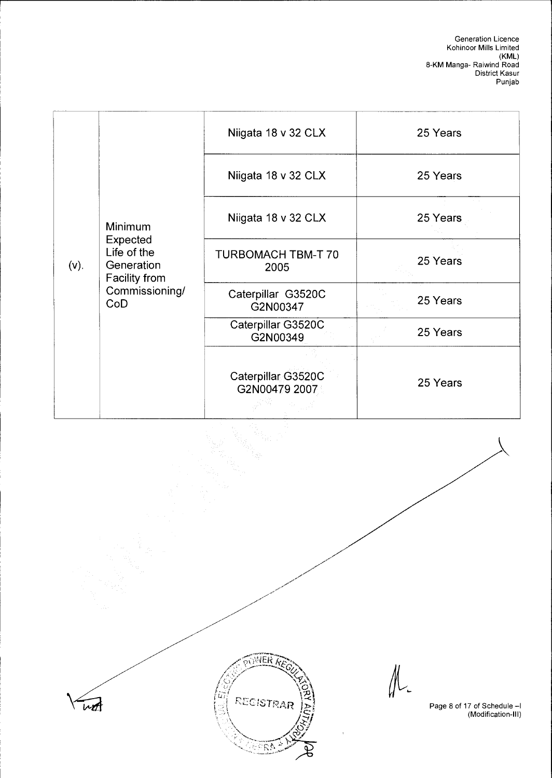|         |                                                                                            | Niigata 18 v 32 CLX                 | 25 Years |
|---------|--------------------------------------------------------------------------------------------|-------------------------------------|----------|
|         |                                                                                            | Niigata 18 v 32 CLX                 | 25 Years |
|         | Minimum<br>Expected<br>Life of the<br>Generation<br>Facility from<br>Commissioning/<br>CoD | Niigata 18 v 32 CLX                 | 25 Years |
| $(V)$ . |                                                                                            | TURBOMACH TBM-T 70<br>2005          | 25 Years |
|         |                                                                                            | Caterpillar G3520C<br>G2N00347      | 25 Years |
|         |                                                                                            | Caterpillar G3520C<br>G2N00349      | 25 Years |
|         |                                                                                            | Caterpillar G3520C<br>G2N00479 2007 | 25 Years |

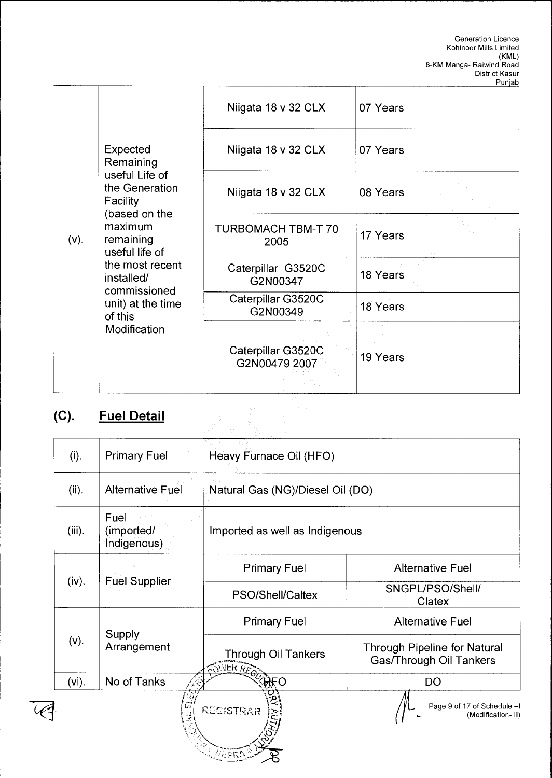|         |                                                         |                                     | Punjab   |
|---------|---------------------------------------------------------|-------------------------------------|----------|
|         |                                                         | Niigata 18 v 32 CLX                 | 07 Years |
| $(v)$ . | Expected<br>Remaining                                   | Niigata 18 v 32 CLX                 | 07 Years |
|         | useful Life of<br>the Generation<br>Facility            | Niigata 18 v 32 CLX                 | 08 Years |
|         | (based on the<br>maximum<br>remaining<br>useful life of | TURBOMACH TBM-T 70<br>2005          | 17 Years |
|         | the most recent<br>installed/<br>commissioned           | Caterpillar G3520C<br>G2N00347      | 18 Years |
|         | unit) at the time<br>of this                            | Caterpillar G3520C<br>G2N00349      | 18 Years |
|         | Modification                                            |                                     |          |
|         |                                                         | Caterpillar G3520C<br>G2N00479 2007 | 19 Years |
|         |                                                         |                                     |          |
| (C).    | <b>Fuel Detail</b>                                      |                                     |          |
|         |                                                         |                                     |          |

## **(C). Fuel Detail**

| (i).      | <b>Primary Fuel</b>               | Heavy Furnace Oil (HFO)                        |                                                                |  |
|-----------|-----------------------------------|------------------------------------------------|----------------------------------------------------------------|--|
| (ii).     | <b>Alternative Fuel</b>           | Natural Gas (NG)/Diesel Oil (DO)               |                                                                |  |
| $(iii)$ . | Fuel<br>(imported/<br>Indigenous) | Imported as well as Indigenous                 |                                                                |  |
|           |                                   | <b>Primary Fuel</b>                            | <b>Alternative Fuel</b>                                        |  |
| (iv).     | <b>Fuel Supplier</b>              | PSO/Shell/Caltex                               | SNGPL/PSO/Shell/<br>Clatex                                     |  |
|           | Supply<br>Arrangement             | <b>Primary Fuel</b>                            | <b>Alternative Fuel</b>                                        |  |
| $(v)$ .   |                                   | <b>Through Oil Tankers</b><br><b>OWNER AER</b> | <b>Through Pipeline for Natural</b><br>Gas/Through Oil Tankers |  |
| $(vi)$ .  | No of Tanks                       | ĤŁO                                            | <b>DO</b>                                                      |  |
|           |                                   | <b>RECISTRAR</b>                               | Page 9 of 17 of Schedule -I<br>(Modification-III)              |  |

 $\mathbb{R} \mathbb{R}$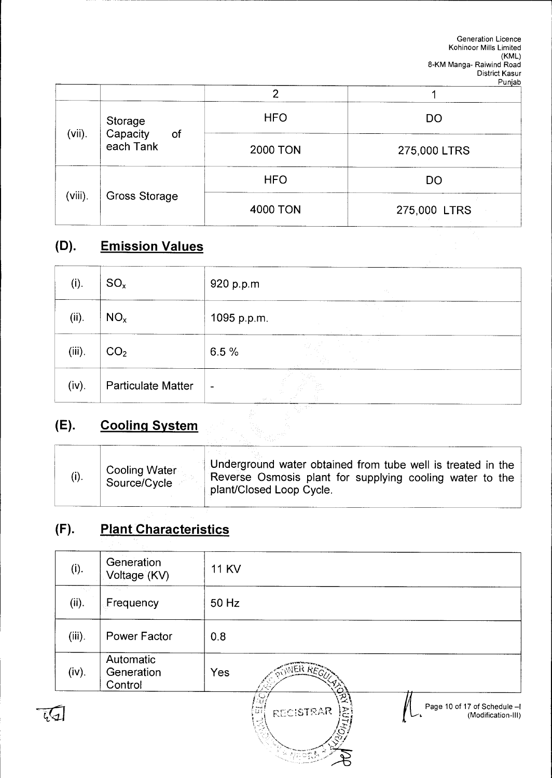|           |                                        |                 | .            |
|-----------|----------------------------------------|-----------------|--------------|
| $(vii)$ . | Storage<br>Capacity<br>of<br>each Tank | <b>HFO</b>      | <b>DO</b>    |
|           |                                        | <b>2000 TON</b> | 275,000 LTRS |
|           | Gross Storage                          | <b>HFO</b>      | <b>DO</b>    |
| (viii).   |                                        | <b>4000 TON</b> | 275,000 LTRS |

### **(D). Emission Values**

| (i).      | $SO_{x}$                  | 920 p.p.m                                                                                                        | in a g                                                       |
|-----------|---------------------------|------------------------------------------------------------------------------------------------------------------|--------------------------------------------------------------|
| (ii).     | NO <sub>x</sub>           | 1095 p.p.m.                                                                                                      | $\alpha$ , $\beta$ , $\alpha$<br><b>Contractor</b><br>$\sim$ |
| $(iii)$ . | CO <sub>2</sub>           | 6.5%                                                                                                             | $\sim 10^6$<br>$\sim 12$                                     |
| (iv).     | <b>Particulate Matter</b> | $\qquad \qquad \blacksquare$<br>$\partial_{\mu}^{\mu} \partial_{\nu}^{\nu} = \partial_{\mu} \partial_{\nu}$<br>ᅲ |                                                              |

### **(E). Cooling System**

| (i). | <b>Cooling Water</b><br>Source/Cycle | Underground water obtained from tube well is treated in the<br>Reverse Osmosis plant for supplying cooling water to the<br>plant/Closed Loop Cycle. |
|------|--------------------------------------|-----------------------------------------------------------------------------------------------------------------------------------------------------|
|------|--------------------------------------|-----------------------------------------------------------------------------------------------------------------------------------------------------|

### **(F). Plant Characteristics**

| (i).      | Generation<br>Voltage (KV)         | <b>11 KV</b>                                                           |
|-----------|------------------------------------|------------------------------------------------------------------------|
| (ii).     | Frequency                          | 50 Hz                                                                  |
| $(iii)$ . | <b>Power Factor</b>                | 0.8                                                                    |
| (iv).     | Automatic<br>Generation<br>Control | <b>WER REG'T</b><br>Yes                                                |
|           |                                    | Page 10 of 17 of Schedule - I<br>(Modification-III)<br>RECISTRAR<br>ξÀ |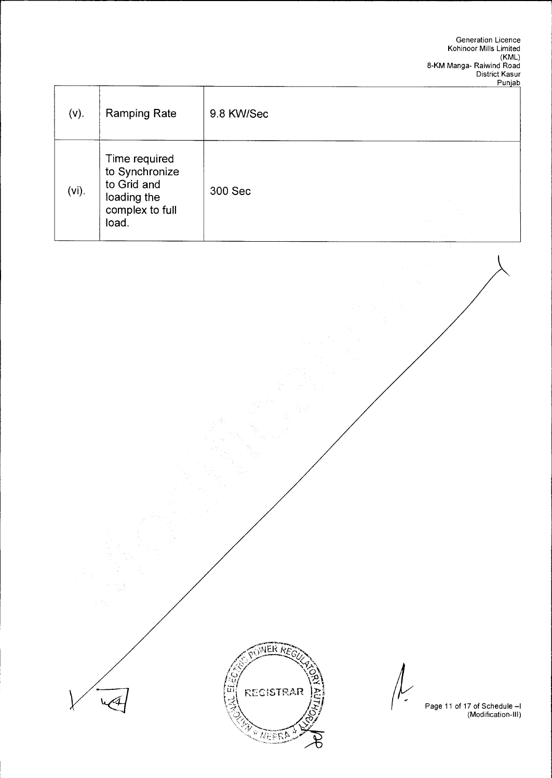| $(v)$ .  | <b>Ramping Rate</b>                            | 9.8 KW/Sec |                                   |
|----------|------------------------------------------------|------------|-----------------------------------|
|          | Time required<br>to Synchronize<br>to Grid and |            |                                   |
| $(vi)$ . | loading the<br>complex to full<br>load.        | 300 Sec    | <b>COLLEGE</b><br><b>Contract</b> |



بالمحمل

Page 11 of 17 of Schedule —I (Modification-Ill)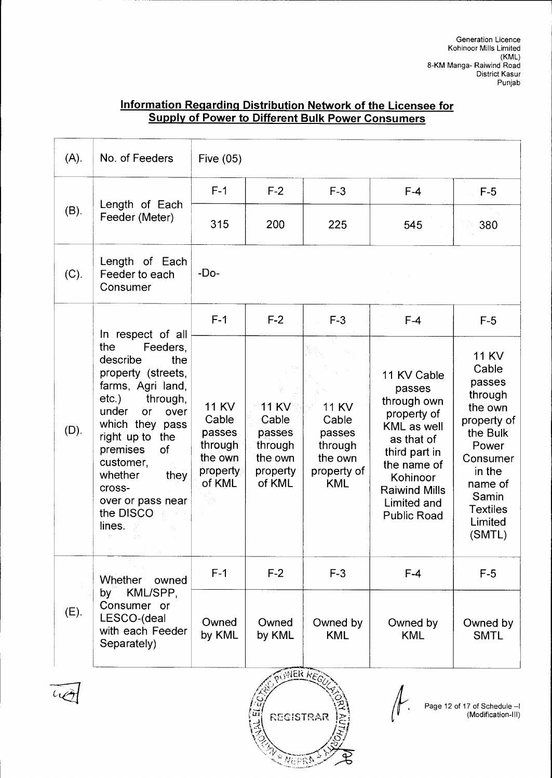#### **Information Regarding Distribution Network of the Licensee for Supply of Power to Different Bulk Power Consumers**

| (A).    | No. of Feeders                                                                                                                                                                                                                                                                                            | Five $(05)$                                                                       |                                                                             |                                                                                    |                                                                                                                                                                                           |                                                                                                                                                                             |
|---------|-----------------------------------------------------------------------------------------------------------------------------------------------------------------------------------------------------------------------------------------------------------------------------------------------------------|-----------------------------------------------------------------------------------|-----------------------------------------------------------------------------|------------------------------------------------------------------------------------|-------------------------------------------------------------------------------------------------------------------------------------------------------------------------------------------|-----------------------------------------------------------------------------------------------------------------------------------------------------------------------------|
|         |                                                                                                                                                                                                                                                                                                           | $F-1$                                                                             | $F-2$                                                                       | $F-3$                                                                              | $F-4$                                                                                                                                                                                     | $F-5$                                                                                                                                                                       |
| $(B)$ . | Length of Each<br>Feeder (Meter)                                                                                                                                                                                                                                                                          | 315                                                                               | 200                                                                         | 225                                                                                | 545                                                                                                                                                                                       | 380                                                                                                                                                                         |
| (C).    | Length of Each<br>Feeder to each<br>Consumer                                                                                                                                                                                                                                                              | $-Do-$                                                                            |                                                                             |                                                                                    |                                                                                                                                                                                           |                                                                                                                                                                             |
|         |                                                                                                                                                                                                                                                                                                           | $F-1$                                                                             | $F-2$                                                                       | $F-3$                                                                              | $F-4$                                                                                                                                                                                     | $F-5$                                                                                                                                                                       |
| (D).    | In respect of all<br>Feeders,<br>the<br>describe<br>the<br>property (streets,<br>farms, Agri land,<br>through,<br>$etc.$ )<br>under<br><b>or</b><br>over<br>which they pass<br>right up to<br>the<br>premises<br>of<br>customer,<br>whether<br>they<br>cross-<br>over or pass near<br>the DISCO<br>lines. | <b>11 KV</b><br>Cable<br>passes<br>through<br>the own<br>property<br>of KML<br>雪色 | <b>11 KV</b><br>Cable<br>passes<br>through<br>the own<br>property<br>of KML | <b>11 KV</b><br>Cable<br>passes<br>through<br>the own<br>property of<br><b>KML</b> | 11 KV Cable<br>passes<br>through own<br>property of<br>KML as well<br>as that of<br>third part in<br>the name of<br>Kohinoor<br><b>Raiwind Mills</b><br>Limited and<br><b>Public Road</b> | <b>11 KV</b><br>Cable<br>passes<br>through<br>the own<br>property of<br>the Bulk<br>Power<br>Consumer<br>in the<br>name of<br>Samin<br><b>Textiles</b><br>Limited<br>(SMTL) |
|         | <b>Whether</b><br>owned                                                                                                                                                                                                                                                                                   | $F-1$                                                                             | $F-2$                                                                       | $F-3$                                                                              | $F-4$                                                                                                                                                                                     | $F-5$                                                                                                                                                                       |
| $(E)$ . | KML/SPP,<br>by<br>Consumer or<br>LESCO-(deal<br>with each Feeder<br>Separately)                                                                                                                                                                                                                           | Owned<br>by KML                                                                   | Owned<br>by KML                                                             | Owned by<br><b>KML</b>                                                             | Owned by<br><b>KML</b>                                                                                                                                                                    | Owned by<br><b>SMTL</b>                                                                                                                                                     |
|         |                                                                                                                                                                                                                                                                                                           |                                                                                   |                                                                             | <b>MER REGU</b>                                                                    |                                                                                                                                                                                           |                                                                                                                                                                             |

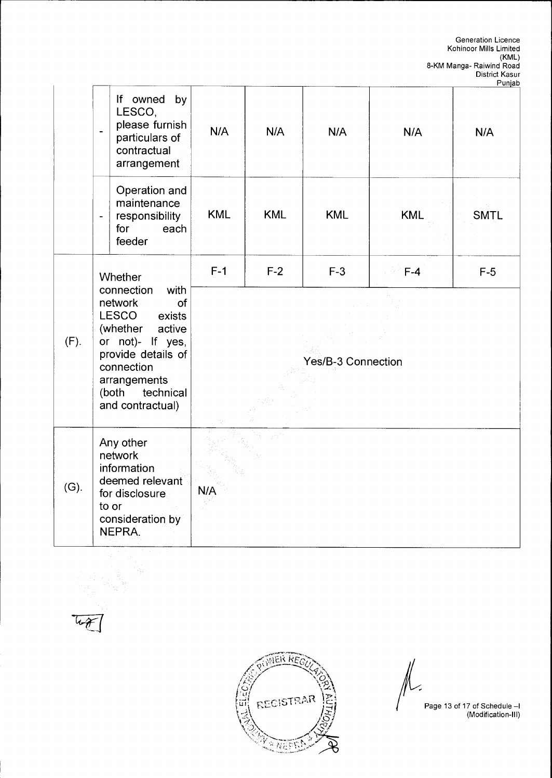|      |                                                                                                                                                                                                |                    |            |            |            | r unjac     |
|------|------------------------------------------------------------------------------------------------------------------------------------------------------------------------------------------------|--------------------|------------|------------|------------|-------------|
|      | If owned<br>by<br>LESCO,<br>please furnish<br>$\ddot{\phantom{1}}$<br>particulars of<br>contractual<br>arrangement                                                                             | N/A                | N/A        | N/A        | N/A        | N/A         |
|      | Operation and<br>maintenance<br>responsibility<br>$\overline{a}$<br>each<br>for<br>feeder                                                                                                      | <b>KML</b>         | <b>KML</b> | <b>KML</b> | <b>KML</b> | <b>SMTL</b> |
| (F). | Whether                                                                                                                                                                                        | $F-1$              | $F-2$      | $F-3$      | $E-A$      | $F-5$       |
|      | connection<br>with<br>network<br>of<br>LESCO<br>exists<br>(whether<br>active<br>or not)- If yes,<br>provide details of<br>connection<br>arrangements<br>(both<br>technical<br>and contractual) | Yes/B-3 Connection |            |            |            |             |
| (G). | Any other<br>network<br>information<br>deemed relevant<br>for disclosure.<br>to or<br>consideration by<br>NEPRA.                                                                               | N/A                |            |            |            |             |



Page 13 of 17 of Schedule —I (Modification-Ill)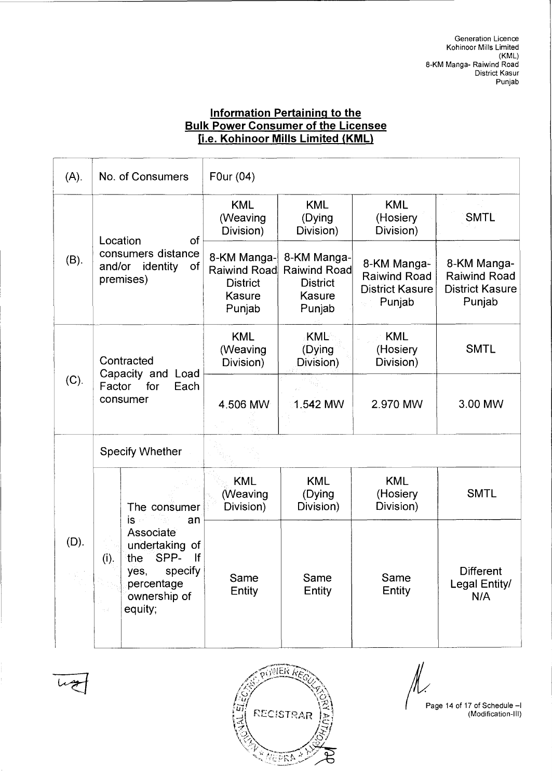### **Information Pertaining to the Bulk Power Consumer of the Licensee**  i.e. **Kohinoor Mills Limited (KML)**

| $(A)$ . |                                                                               | No. of Consumers                                                  | F0ur (04)                                                                 |                                                                           |                                                                        |                                                                        |
|---------|-------------------------------------------------------------------------------|-------------------------------------------------------------------|---------------------------------------------------------------------------|---------------------------------------------------------------------------|------------------------------------------------------------------------|------------------------------------------------------------------------|
|         | of<br>Location<br>consumers distance<br>of<br>and/or<br>identity<br>premises) |                                                                   | <b>KML</b><br>(Weaving<br>Division)                                       | <b>KML</b><br>(Dying<br>Division)                                         | <b>KML</b><br>(Hosiery<br>Division)                                    | <b>SMTL</b>                                                            |
| $(B)$ . |                                                                               |                                                                   | 8-KM Manga-<br><b>Raiwind Road</b><br><b>District</b><br>Kasure<br>Punjab | 8-KM Manga-<br><b>Raiwind Road</b><br><b>District</b><br>Kasure<br>Punjab | 8-KM Manga-<br><b>Raiwind Road</b><br><b>District Kasure</b><br>Punjab | 8-KM Manga-<br><b>Raiwind Road</b><br><b>District Kasure</b><br>Punjab |
| (C).    | Contracted<br>Capacity and Load<br>Factor<br>for<br>Each<br>consumer          |                                                                   | <b>KML</b><br>(Weaving<br>Division)                                       | KML<br>(Dying<br>Division)                                                | <b>KML</b><br>(Hosiery<br>Division)                                    | <b>SMTL</b>                                                            |
|         |                                                                               |                                                                   | 4.506 MW                                                                  | 1.542 MW                                                                  | 2.970 MW                                                               | 3.00 MW                                                                |
|         | <b>Specify Whether</b>                                                        |                                                                   |                                                                           |                                                                           |                                                                        |                                                                        |
| (D).    | (i).                                                                          | The consumer                                                      | <b>KML</b><br>(Weaving<br>Division)                                       | <b>KML</b><br>(Dying<br>Division)                                         | <b>KML</b><br>(Hosiery<br>Division)                                    | <b>SMTL</b>                                                            |
|         |                                                                               | is -<br>Associate<br>SPP-<br>the<br>yes,<br>percentage<br>equity; | an<br>undertaking of<br>lf<br>specify<br>ownership of                     | Same<br>Entity                                                            | Same<br>Entity                                                         | Same<br>Entity                                                         |





Page 14 of 17 of Schedule —I (Modification-Ill)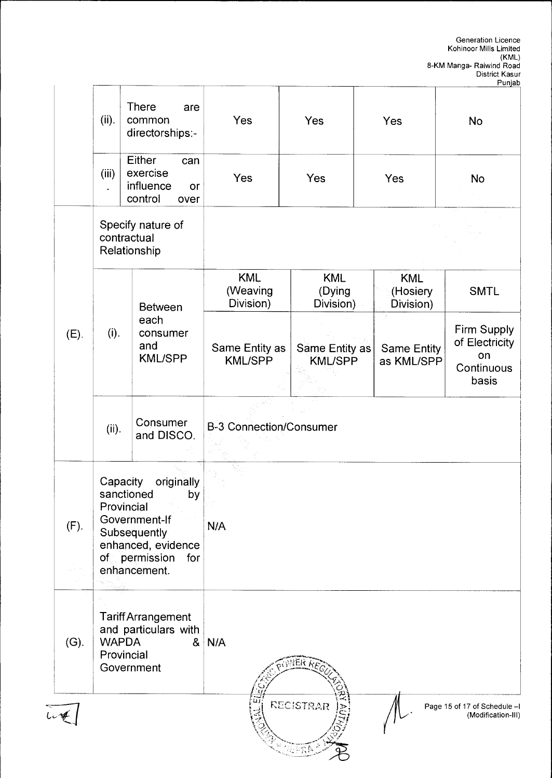|  |         |                                                                                                                                                                               |                                                                                                 |                                     |                                   |                                     | Fuijau                                                     |  |  |
|--|---------|-------------------------------------------------------------------------------------------------------------------------------------------------------------------------------|-------------------------------------------------------------------------------------------------|-------------------------------------|-----------------------------------|-------------------------------------|------------------------------------------------------------|--|--|
|  |         | (ii).                                                                                                                                                                         | <b>There</b><br>are<br>common<br>directorships:-                                                | Yes                                 | Yes                               | Yes                                 | No                                                         |  |  |
|  |         | (iii)                                                                                                                                                                         | Either<br>can<br>exercise<br>influence<br>or<br>control<br>over                                 | Yes                                 | Yes                               | Yes                                 | No                                                         |  |  |
|  |         | Specify nature of<br>contractual<br>Relationship                                                                                                                              |                                                                                                 |                                     |                                   |                                     |                                                            |  |  |
|  |         | (i).                                                                                                                                                                          | <b>Between</b>                                                                                  | <b>KML</b><br>(Weaving<br>Division) | <b>KML</b><br>(Dying<br>Division) | <b>KML</b><br>(Hosiery<br>Division) | <b>SMTL</b>                                                |  |  |
|  | (E).    |                                                                                                                                                                               | each<br>consumer<br>and<br><b>KML/SPP</b>                                                       | Same Entity as<br><b>KML/SPP</b>    | Same Entity as<br><b>KML/SPP</b>  | Same Entity<br>as KML/SPP           | Firm Supply<br>of Electricity<br>on<br>Continuous<br>basis |  |  |
|  |         | (ii).                                                                                                                                                                         | Consumer<br>and DISCO.                                                                          | <b>B-3 Connection/Consumer</b>      |                                   |                                     |                                                            |  |  |
|  | (F).    | Capacity<br>originally<br>sanctioned<br>by<br>Provincial<br>Government-If<br>Subsequently<br>enhanced, evidence<br>of permission<br>for<br>enhancement.<br>ana<br>Antara Asia |                                                                                                 | N/A                                 |                                   |                                     |                                                            |  |  |
|  | $(G)$ . | <b>WAPDA</b>                                                                                                                                                                  | <b>Tariff Arrangement</b><br>and particulars with<br>8 <sub>1</sub><br>Provincial<br>Government | N/A<br>VER RE                       |                                   |                                     |                                                            |  |  |
|  |         |                                                                                                                                                                               |                                                                                                 |                                     | RECISTRAR                         |                                     | Page 15 of 17 of Schedule -I<br>(Modification-III)         |  |  |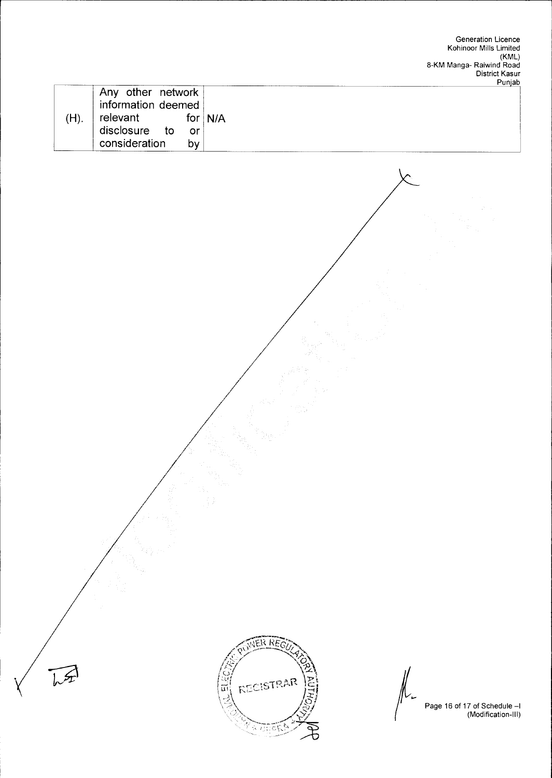|                                  |     | Punjab    |
|----------------------------------|-----|-----------|
| Any other network $\overline{ }$ |     |           |
| information deemed               |     |           |
| relevant                         |     | for $N/A$ |
| disclosure to                    | .or |           |
| consideration                    | bv  |           |



 $\sqrt{\pi}$ 

Page 16 of 17 of Schedule —I (Modification-Ill)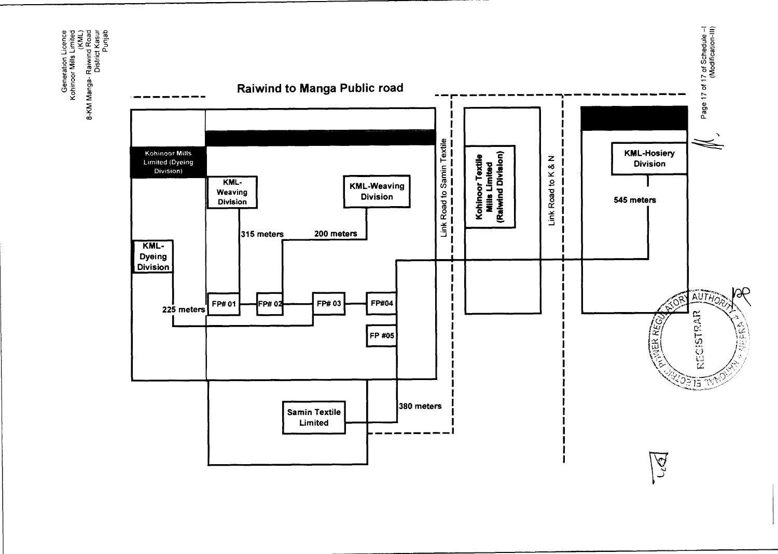Generation Licence<br>Kohinoor Mills Limited<br>8-KM Manga- Raiwind Road<br>District Kasur

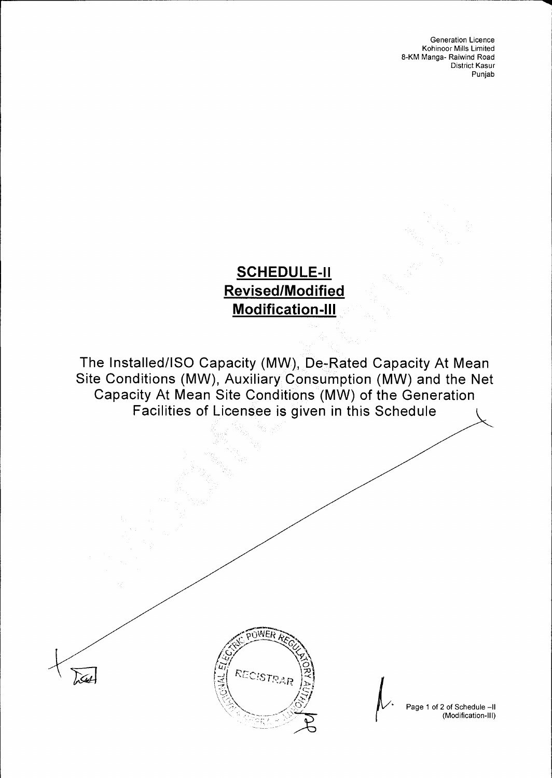### **SCHEDULE-II Revised/Modified Modification-III**

The Installed/ISO Capacity (MW), De-Rated Capacity At Mean Site Conditions (MW), Auxiliary Consumption (MW) and the Net Capacity At Mean Site Conditions (MW) of the Generation Facilities of Licensee is given in this Schedule



DA

Page 1 of 2 of Schedule —II (Modification-Ill)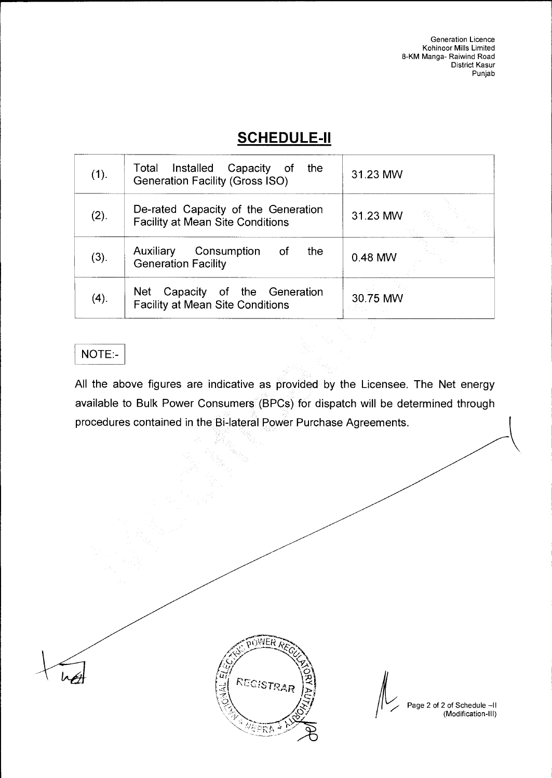### **SCHEDULE-II**

| (1). | Total Installed Capacity of the<br><b>Generation Facility (Gross ISO)</b>      | 31.23 MW |
|------|--------------------------------------------------------------------------------|----------|
| (2). | De-rated Capacity of the Generation<br><b>Facility at Mean Site Conditions</b> | 31.23 MW |
| (3). | Auxiliary<br>Consumption of<br>the<br><b>Generation Facility</b>               | 0.48 MW  |
| (4). | Net<br>Capacity of the Generation<br><b>Facility at Mean Site Conditions</b>   | 30.75 MW |

### NOTE:-

All the above figures are indicative as provided by the Licensee. The Net energy available to Bulk Power Consumers (BPCs) for dispatch will be determined through procedures contained in the Bi-lateral Power Purchase Agreements.



Page 2 of 2 of Schedule —II (Modification-Ill)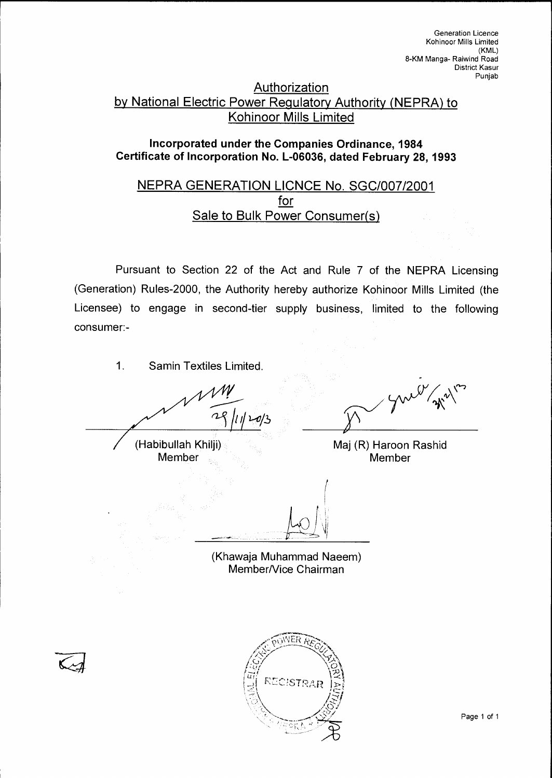### **Authorization** by National Electric Power Regulatory Authority (NEPRA) to Kohinoor Mills Limited

#### **Incorporated under the Companies Ordinance, 1984 Certificate of Incorporation No. L-06036, dated February 28, 1993**

### NEPRA GENERATION LICNCE No. SGC/007/2001 for Sale to Bulk Power Consumer(s)

Pursuant to Section 22 of the Act and Rule 7 of the NEPRA Licensing (Generation) Rules-2000, the Authority hereby authorize Kohinoor Mills Limited (the Licensee) to engage in second-tier supply business, limited to the following consumer:-

1. Samin Textiles Limited.

 $411120/3$ 

(Habibullah Khilji) Maj (R) Haroon Rashid<br>Member Member Member

(Khawaja Muhammad Naeem) Member/Vice Chairman

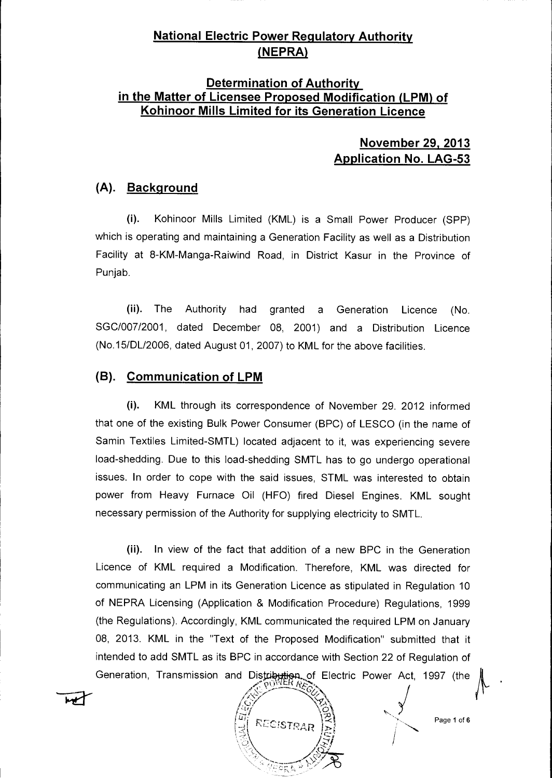### **National Electric Power Regulatory Authority (NEPRA)**

### **Determination of Authority in the Matter of Licensee Proposed Modification (LPM) of Kohinoor Mills Limited for its Generation Licence**

### **November 29, 2013 Application No. LAG-53**

### **(A). Background**

(i). Kohinoor Mills Limited (KML) is a Small Power Producer (SPP) which is operating and maintaining a Generation Facility as well as a Distribution Facility at 8-KM-Manga-Raiwind Road, in District Kasur in the Province of Punjab.

(ii). The Authority had granted a Generation Licence (No. SGC/007/2001, dated December 08, 2001) and a Distribution Licence (No.15/DL/2006, dated August 01, 2007) to KML for the above facilities.

#### **(B). Communication of LPM**

(i). KML through its correspondence of November 29. 2012 informed that one of the existing Bulk Power Consumer (BPC) of LESCO (in the name of Samin Textiles Limited-SMTL) located adjacent to it, was experiencing severe load-shedding. Due to this load-shedding SMTL has to go undergo operational issues. In order to cope with the said issues, STML was interested to obtain power from Heavy Furnace Oil (HFO) fired Diesel Engines. KML sought necessary permission of the Authority for supplying electricity to SMTL.

(ii). In view of the fact that addition of a new BPC in the Generation Licence of KML required a Modification. Therefore, KML was directed for communicating an LPM in its Generation Licence as stipulated in Regulation 10 of NEPRA Licensing (Application & Modification Procedure) Regulations, 1999 (the Regulations). Accordingly, KML communicated the required LPM on January 08, 2013. KML in the "Text of the Proposed Modification" submitted that it intended to add SMTL as its BPC in accordance with Section 22 of Regulation of Generation, Transmission and Distribution of Electric Power Act, 1997 (the

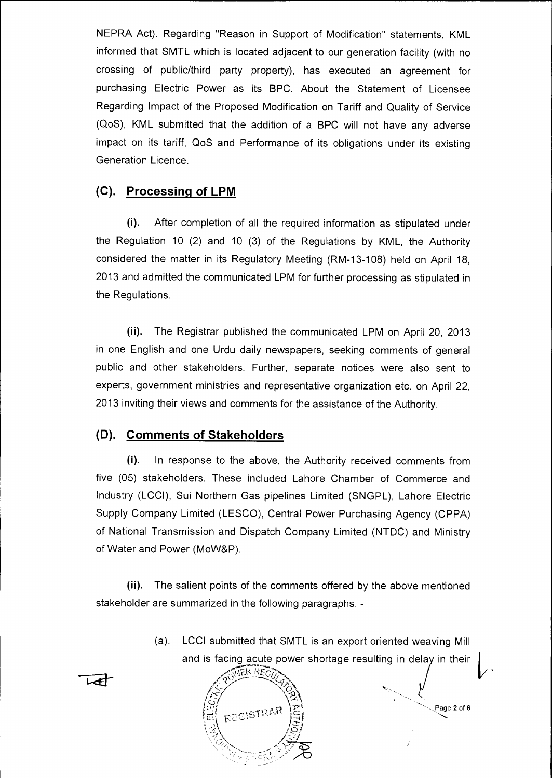NEPRA Act). Regarding "Reason in Support of Modification" statements, KML informed that SMTL which is located adjacent to our generation facility (with no crossing of public/third party property), has executed an agreement for purchasing Electric Power as its BPC. About the Statement of Licensee Regarding Impact of the Proposed Modification on Tariff and Quality of Service (QoS), KML submitted that the addition of a BPC will not have any adverse impact on its tariff, QoS and Performance of its obligations under its existing Generation Licence.

### **(C). Processing of LPM**

(i). After completion of all the required information as stipulated under the Regulation 10 (2) and 10 (3) of the Regulations by KML, the Authority considered the matter in its Regulatory Meeting (RM-13-108) held on April 18, 2013 and admitted the communicated LPM for further processing as stipulated in the Regulations.

(ii). The Registrar published the communicated LPM on April 20, 2013 in one English and one Urdu daily newspapers, seeking comments of general public and other stakeholders. Further, separate notices were also sent to experts, government ministries and representative organization etc. on April 22, 2013 inviting their views and comments for the assistance of the Authority.

#### **(D). Comments of Stakeholders**

(i). In response to the above, the Authority received comments from five (05) stakeholders. These included Lahore Chamber of Commerce and Industry (LCCI), Sui Northern Gas pipelines Limited (SNGPL), Lahore Electric Supply Company Limited (LESCO), Central Power Purchasing Agency (CPPA) of National Transmission and Dispatch Company Limited (NTDC) and Ministry of Water and Power (MoW&P).

(ii). The salient points of the comments offered by the above mentioned stakeholder are summarized in the following paragraphs: -

> and is facing acute power shortage resulting in delay in their (a). LCCI submitted that SMTL is an export oriented weaving Mill

> > Page 2 of 6

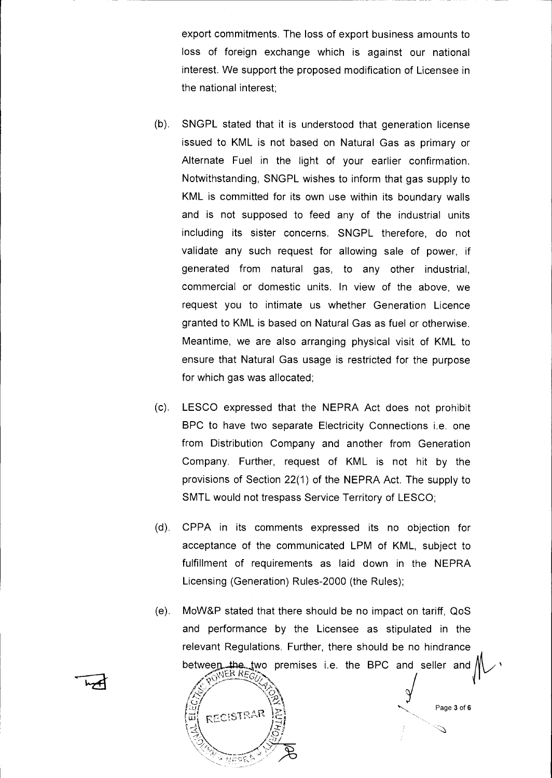export commitments. The loss of export business amounts to loss of foreign exchange which is against our national interest. We support the proposed modification of Licensee in the national interest;

- (b). SNGPL stated that it is understood that generation license issued to KML is not based on Natural Gas as primary or Alternate Fuel in the light of your earlier confirmation. Notwithstanding, SNGPL wishes to inform that gas supply to KML is committed for its own use within its boundary walls and is not supposed to feed any of the industrial units including its sister concerns. SNGPL therefore, do not validate any such request for allowing sale of power, if generated from natural gas, to any other industrial, commercial or domestic units. In view of the above, we request you to intimate us whether Generation Licence granted to KML is based on Natural Gas as fuel or otherwise. Meantime, we are also arranging physical visit of KML to ensure that Natural Gas usage is restricted for the purpose for which gas was allocated;
- (c). LESCO expressed that the NEPRA Act does not prohibit BPC to have two separate Electricity Connections i.e. one from Distribution Company and another from Generation Company. Further, request of KML is not hit by the provisions of Section 22(1) of the NEPRA Act. The supply to SMTL would not trespass Service Territory of LESCO;
- (d). CPPA in its comments expressed its no objection for acceptance of the communicated LPM of KML, subject to fulfillment of requirements as laid down in the NEPRA Licensing (Generation) Rules-2000 (the Rules);
- (e). MoW&P stated that there should be no impact on tariff, QoS and performance by the Licensee as stipulated in the relevant Regulations. Further, there should be no hindrance between, the two premises i.e. the BPC and seller and  $\sqrt{\sqrt{R}}$  REGIN

Page 3 of 6

Í

.<br>Vo

 $\widetilde{\mathcal{L}}$ 

 $\sim$ 

j<br>1

i(

 $\vec{a}$  recistrar

មតតា

\IA\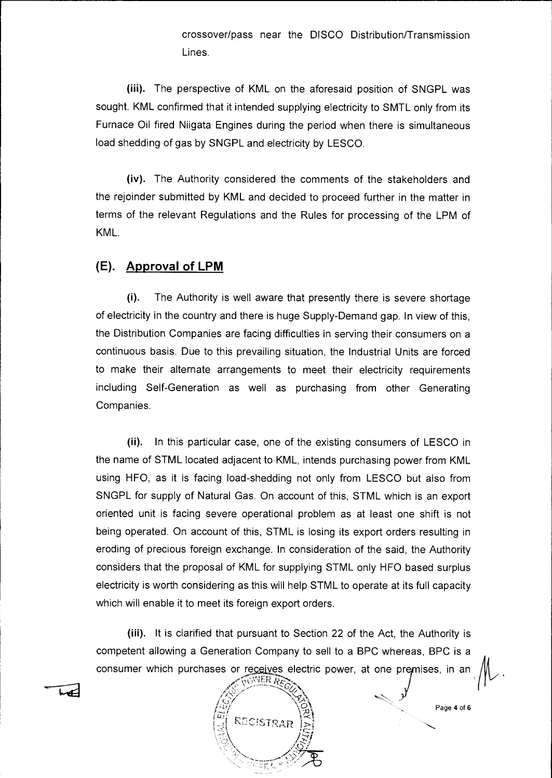crossover/pass near the DISCO Distribution/Transmission Lines.

(iii). The perspective of KML on the aforesaid position of SNGPL was sought. KML confirmed that it intended supplying electricity to SMTL only from its Furnace Oil fired Niigata Engines during the period when there is simultaneous load shedding of gas by SNGPL and electricity by LESCO.

(iv). The Authority considered the comments of the stakeholders and the rejoinder submitted by KML and decided to proceed further in the matter in terms of the relevant Regulations and the Rules for processing of the LPM of KML.

#### **(E). Approval of LPM**

(i). The Authority is well aware that presently there is severe shortage of electricity in the country and there is huge Supply-Demand gap. In view of this, the Distribution Companies are facing difficulties in serving their consumers on a continuous basis. Due to this prevailing situation, the Industrial Units are forced to make their alternate arrangements to meet their electricity requirements including Self-Generation as well as purchasing from other Generating Companies.

(ii). In this particular case, one of the existing consumers of LESCO in the name of STML located adjacent to KML, intends purchasing power from KML using HFO, as it is facing load-shedding not only from LESCO but also from SNGPL for supply of Natural Gas. On account of this, STML which is an export oriented unit is facing severe operational problem as at least one shift is not being operated. On account of this, STML is losing its export orders resulting in eroding of precious foreign exchange. In consideration of the said, the Authority considers that the proposal of KML for supplying STML only HFO based surplus electricity is worth considering as this will help STML to operate at its full capacity which will enable it to meet its foreign export orders.

(iii). It is clarified that pursuant to Section 22 of the Act, the Authority is competent allowing a Generation Company to sell to a BPC whereas, BPC is a consumer which purchases or receives electric power, at one premises, in an TOWER RECT

Page 4 of 6

 $\%$ 

 $\frac{w}{|z|}$  RECISTRAR

/  $^{\prime}$ X

سمعدا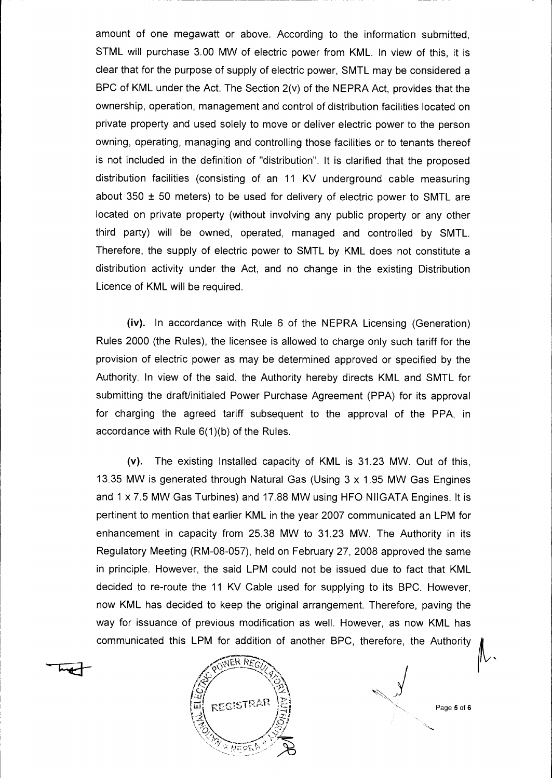amount of one megawatt or above. According to the information submitted, STML will purchase 3.00 MW of electric power from KML. In view of this, it is clear that for the purpose of supply of electric power, SMTL may be considered a BPC of KML under the Act. The Section 2(v) of the NEPRA Act, provides that the ownership, operation, management and control of distribution facilities located on private property and used solely to move or deliver electric power to the person owning, operating, managing and controlling those facilities or to tenants thereof is not included in the definition of "distribution". It is clarified that the proposed distribution facilities (consisting of an 11 KV underground cable measuring about 350  $\pm$  50 meters) to be used for delivery of electric power to SMTL are located on private property (without involving any public property or any other third party) will be owned, operated, managed and controlled by SMTL. Therefore, the supply of electric power to SMTL by KML does not constitute a distribution activity under the Act, and no change in the existing Distribution Licence of KML will be required.

(iv). In accordance with Rule 6 of the NEPRA Licensing (Generation) Rules 2000 (the Rules), the licensee is allowed to charge only such tariff for the provision of electric power as may be determined approved or specified by the Authority. In view of the said, the Authority hereby directs KML and SMTL for submitting the draft/initialed Power Purchase Agreement (PPA) for its approval for charging the agreed tariff subsequent to the approval of the PPA, in accordance with Rule 6(1)(b) of the Rules.

(v). The existing Installed capacity of KML is 31.23 MW. Out of this, 13.35 MW is generated through Natural Gas (Using 3 x 1.95 MW Gas Engines and 1 x 7.5 MW Gas Turbines) and 17.88 MW using HFO NIIGATA Engines. It is pertinent to mention that earlier KML in the year 2007 communicated an LPM for enhancement in capacity from 25.38 MW to 31.23 MW. The Authority in its Regulatory Meeting (RM-08-057), held on February 27, 2008 approved the same in principle. However, the said LPM could not be issued due to fact that KML decided to re-route the 11 KV Cable used for supplying to its BPC. However, now KML has decided to keep the original arrangement. Therefore, paving the way for issuance of previous modification as well. However, as now KML has communicated this LPM for addition of another BPC, therefore, the Authority



Page 5 of 6